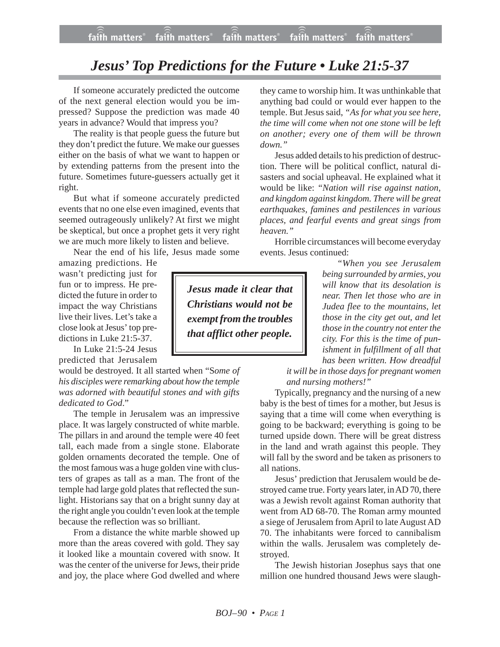## *Jesus' Top Predictions for the Future • Luke 21:5-37*

If someone accurately predicted the outcome of the next general election would you be impressed? Suppose the prediction was made 40 years in advance? Would that impress you?

The reality is that people guess the future but they don't predict the future. We make our guesses either on the basis of what we want to happen or by extending patterns from the present into the future. Sometimes future-guessers actually get it right.

But what if someone accurately predicted events that no one else even imagined, events that seemed outrageously unlikely? At first we might be skeptical, but once a prophet gets it very right we are much more likely to listen and believe.

Near the end of his life, Jesus made some amazing predictions. He

wasn't predicting just for fun or to impress. He predicted the future in order to impact the way Christians live their lives. Let's take a close look at Jesus' top predictions in Luke 21:5-37.

In Luke 21:5-24 Jesus predicted that Jerusalem

would be destroyed. It all started when "S*ome of his disciples were remarking about how the temple was adorned with beautiful stones and with gifts dedicated to God*."

The temple in Jerusalem was an impressive place. It was largely constructed of white marble. The pillars in and around the temple were 40 feet tall, each made from a single stone. Elaborate golden ornaments decorated the temple. One of the most famous was a huge golden vine with clusters of grapes as tall as a man. The front of the temple had large gold plates that reflected the sunlight. Historians say that on a bright sunny day at the right angle you couldn't even look at the temple because the reflection was so brilliant.

From a distance the white marble showed up more than the areas covered with gold. They say it looked like a mountain covered with snow. It was the center of the universe for Jews, their pride and joy, the place where God dwelled and where they came to worship him. It was unthinkable that anything bad could or would ever happen to the temple. But Jesus said, *"As for what you see here, the time will come when not one stone will be left on another; every one of them will be thrown down."*

Jesus added details to his prediction of destruction. There will be political conflict, natural disasters and social upheaval. He explained what it would be like: *"Nation will rise against nation, and kingdom against kingdom. There will be great earthquakes, famines and pestilences in various places, and fearful events and great sings from heaven."*

Horrible circumstances will become everyday events. Jesus continued:

> *"When you see Jerusalem being surrounded by armies, you will know that its desolation is near. Then let those who are in Judea flee to the mountains, let those in the city get out, and let those in the country not enter the city. For this is the time of punishment in fulfillment of all that has been written. How dreadful*

*it will be in those days for pregnant women and nursing mothers!"*

Typically, pregnancy and the nursing of a new baby is the best of times for a mother, but Jesus is saying that a time will come when everything is going to be backward; everything is going to be turned upside down. There will be great distress in the land and wrath against this people. They will fall by the sword and be taken as prisoners to all nations.

Jesus' prediction that Jerusalem would be destroyed came true. Forty years later, in AD 70, there was a Jewish revolt against Roman authority that went from AD 68-70. The Roman army mounted a siege of Jerusalem from April to late August AD 70. The inhabitants were forced to cannibalism within the walls. Jerusalem was completely destroyed.

The Jewish historian Josephus says that one million one hundred thousand Jews were slaugh-

*Jesus made it clear that Christians would not be exempt from the troubles that afflict other people.*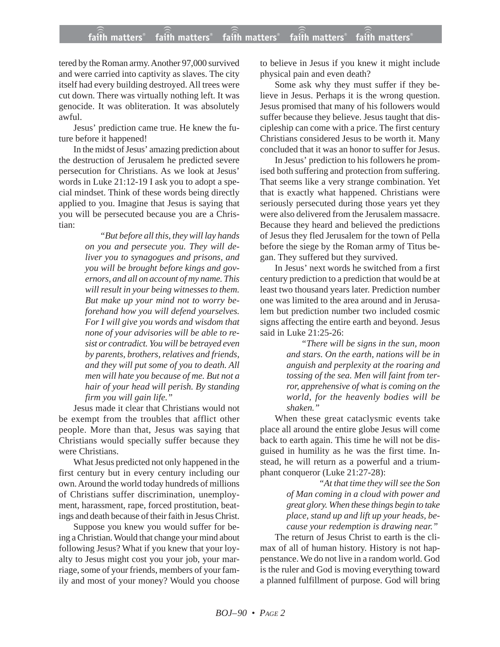## **faith matters® faith matters® faith matters® faith matters® faith matters®** ))) ))) faith matters® faith matters<sup>®</sup> faith matters

tered by the Roman army. Another 97,000 survived and were carried into captivity as slaves. The city itself had every building destroyed. All trees were cut down. There was virtually nothing left. It was genocide. It was obliteration. It was absolutely awful.

Jesus' prediction came true. He knew the future before it happened!

In the midst of Jesus' amazing prediction about the destruction of Jerusalem he predicted severe persecution for Christians. As we look at Jesus' words in Luke 21:12-19 I ask you to adopt a special mindset. Think of these words being directly applied to you. Imagine that Jesus is saying that you will be persecuted because you are a Christian:

> *"But before all this, they will lay hands on you and persecute you. They will deliver you to synagogues and prisons, and you will be brought before kings and governors, and all on account of my name. This will result in your being witnesses to them. But make up your mind not to worry beforehand how you will defend yourselves. For I will give you words and wisdom that none of your advisories will be able to resist or contradict. You will be betrayed even by parents, brothers, relatives and friends, and they will put some of you to death. All men will hate you because of me. But not a hair of your head will perish. By standing firm you will gain life."*

Jesus made it clear that Christians would not be exempt from the troubles that afflict other people. More than that, Jesus was saying that Christians would specially suffer because they were Christians.

What Jesus predicted not only happened in the first century but in every century including our own. Around the world today hundreds of millions of Christians suffer discrimination, unemployment, harassment, rape, forced prostitution, beatings and death because of their faith in Jesus Christ.

Suppose you knew you would suffer for being a Christian. Would that change your mind about following Jesus? What if you knew that your loyalty to Jesus might cost you your job, your marriage, some of your friends, members of your family and most of your money? Would you choose to believe in Jesus if you knew it might include physical pain and even death?

Some ask why they must suffer if they believe in Jesus. Perhaps it is the wrong question. Jesus promised that many of his followers would suffer because they believe. Jesus taught that discipleship can come with a price. The first century Christians considered Jesus to be worth it. Many concluded that it was an honor to suffer for Jesus.

In Jesus' prediction to his followers he promised both suffering and protection from suffering. That seems like a very strange combination. Yet that is exactly what happened. Christians were seriously persecuted during those years yet they were also delivered from the Jerusalem massacre. Because they heard and believed the predictions of Jesus they fled Jerusalem for the town of Pella before the siege by the Roman army of Titus began. They suffered but they survived.

In Jesus' next words he switched from a first century prediction to a prediction that would be at least two thousand years later. Prediction number one was limited to the area around and in Jerusalem but prediction number two included cosmic signs affecting the entire earth and beyond. Jesus said in Luke 21:25-26:

> *"There will be signs in the sun, moon and stars. On the earth, nations will be in anguish and perplexity at the roaring and tossing of the sea. Men will faint from terror, apprehensive of what is coming on the world, for the heavenly bodies will be shaken."*

When these great cataclysmic events take place all around the entire globe Jesus will come back to earth again. This time he will not be disguised in humility as he was the first time. Instead, he will return as a powerful and a triumphant conqueror (Luke 21:27-28):

> *"At that time they will see the Son of Man coming in a cloud with power and great glory. When these things begin to take place, stand up and lift up your heads, because your redemption is drawing near."*

The return of Jesus Christ to earth is the climax of all of human history. History is not happenstance. We do not live in a random world. God is the ruler and God is moving everything toward a planned fulfillment of purpose. God will bring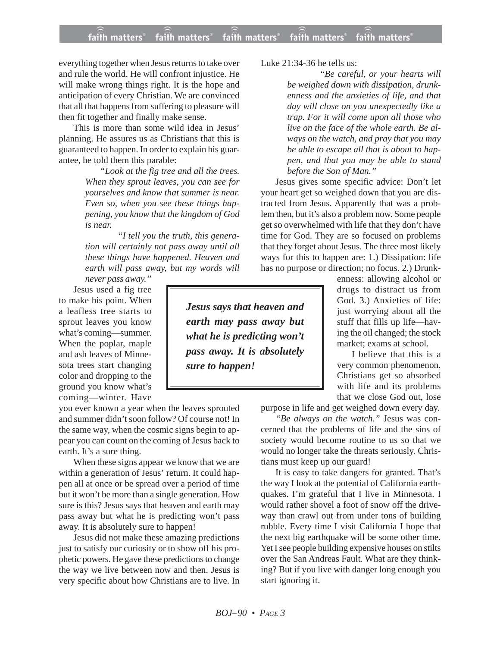## **faith matters® faith matters® faith matters® faith matters® faith matters®** ))) ))) faith matters® faith matters® faith matters

everything together when Jesus returns to take over and rule the world. He will confront injustice. He will make wrong things right. It is the hope and anticipation of every Christian. We are convinced that all that happens from suffering to pleasure will then fit together and finally make sense.

This is more than some wild idea in Jesus' planning. He assures us as Christians that this is guaranteed to happen. In order to explain his guarantee, he told them this parable:

> *"Look at the fig tree and all the trees. When they sprout leaves, you can see for yourselves and know that summer is near. Even so, when you see these things happening, you know that the kingdom of God is near.*

> *"I tell you the truth, this generation will certainly not pass away until all these things have happened. Heaven and earth will pass away, but my words will*

*never pass away."* Jesus used a fig tree

to make his point. When a leafless tree starts to sprout leaves you know what's coming—summer. When the poplar, maple and ash leaves of Minnesota trees start changing color and dropping to the ground you know what's coming—winter. Have

you ever known a year when the leaves sprouted and summer didn't soon follow? Of course not! In the same way, when the cosmic signs begin to appear you can count on the coming of Jesus back to earth. It's a sure thing.

When these signs appear we know that we are within a generation of Jesus' return. It could happen all at once or be spread over a period of time but it won't be more than a single generation. How sure is this? Jesus says that heaven and earth may pass away but what he is predicting won't pass away. It is absolutely sure to happen!

Jesus did not make these amazing predictions just to satisfy our curiosity or to show off his prophetic powers. He gave these predictions to change the way we live between now and then. Jesus is very specific about how Christians are to live. In

*Jesus says that heaven and earth may pass away but what he is predicting won't pass away. It is absolutely sure to happen!*

Luke 21:34-36 he tells us:

*"Be careful, or your hearts will be weighed down with dissipation, drunkenness and the anxieties of life, and that day will close on you unexpectedly like a trap. For it will come upon all those who live on the face of the whole earth. Be always on the watch, and pray that you may be able to escape all that is about to happen, and that you may be able to stand before the Son of Man."*

Jesus gives some specific advice: Don't let your heart get so weighed down that you are distracted from Jesus. Apparently that was a problem then, but it's also a problem now. Some people get so overwhelmed with life that they don't have time for God. They are so focused on problems that they forget about Jesus. The three most likely ways for this to happen are: 1.) Dissipation: life has no purpose or direction; no focus. 2.) Drunk-

> enness: allowing alcohol or drugs to distract us from God. 3.) Anxieties of life: just worrying about all the stuff that fills up life—having the oil changed; the stock market; exams at school.

> I believe that this is a very common phenomenon. Christians get so absorbed with life and its problems that we close God out, lose

purpose in life and get weighed down every day.

*"Be always on the watch."* Jesus was concerned that the problems of life and the sins of society would become routine to us so that we would no longer take the threats seriously. Christians must keep up our guard!

It is easy to take dangers for granted. That's the way I look at the potential of California earthquakes. I'm grateful that I live in Minnesota. I would rather shovel a foot of snow off the driveway than crawl out from under tons of building rubble. Every time I visit California I hope that the next big earthquake will be some other time. Yet I see people building expensive houses on stilts over the San Andreas Fault. What are they thinking? But if you live with danger long enough you start ignoring it.